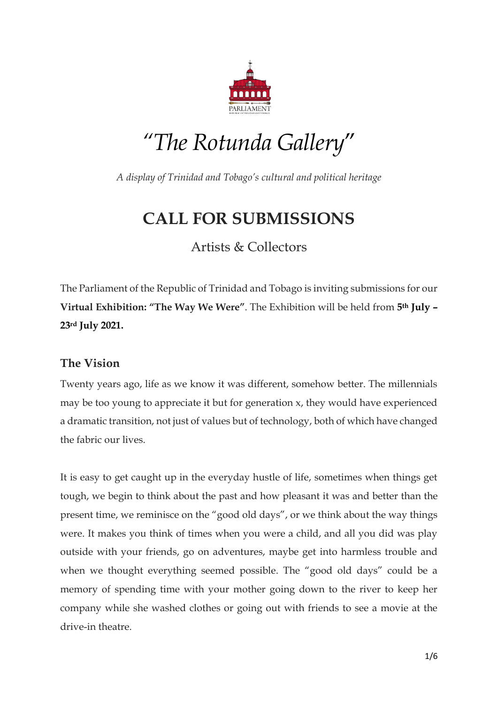

# *"The Rotunda Gallery*"

*A display of Trinidad and Tobago's cultural and political heritage*

# **CALL FOR SUBMISSIONS**

Artists & Collectors

The Parliament of the Republic of Trinidad and Tobago is inviting submissions for our **Virtual Exhibition: "The Way We Were"**. The Exhibition will be held from **5th July – 23rd July 2021.**

### **The Vision**

Twenty years ago, life as we know it was different, somehow better. The millennials may be too young to appreciate it but for generation x, they would have experienced a dramatic transition, not just of values but of technology, both of which have changed the fabric our lives.

It is easy to get caught up in the everyday hustle of life, sometimes when things get tough, we begin to think about the past and how pleasant it was and better than the present time, we reminisce on the "good old days", or we think about the way things were. It makes you think of times when you were a child, and all you did was play outside with your friends, go on adventures, maybe get into harmless trouble and when we thought everything seemed possible. The "good old days" could be a memory of spending time with your mother going down to the river to keep her company while she washed clothes or going out with friends to see a movie at the drive-in theatre.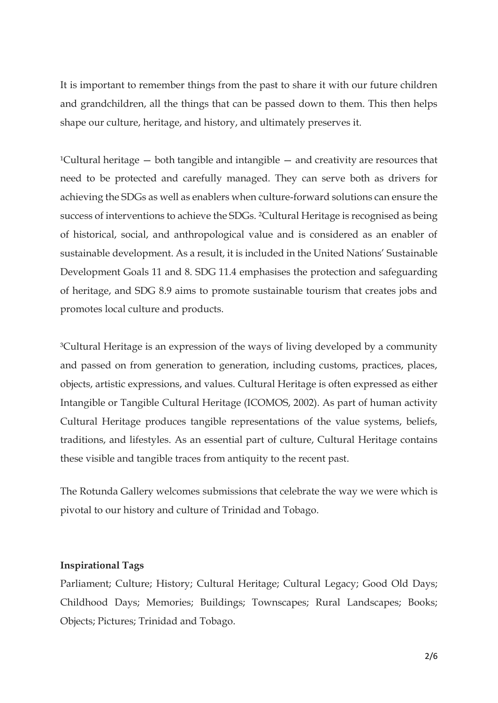It is important to remember things from the past to share it with our future children and grandchildren, all the things that can be passed down to them. This then helps shape our culture, heritage, and history, and ultimately preserves it.

<sup>1</sup>Cultural heritage  $-$  both tangible and intangible  $-$  and creativity are resources that need to be protected and carefully managed. They can serve both as drivers for achieving the SDGs as well as enablers when culture-forward solutions can ensure the success of interventions to achieve the SDGs. ²Cultural Heritage is recognised as being of historical, social, and anthropological value and is considered as an enabler of sustainable development. As a result, it is included in the United Nations' Sustainable Development Goals 11 and 8. SDG 11.4 emphasises the protection and safeguarding of heritage, and SDG 8.9 aims to promote sustainable tourism that creates jobs and promotes local culture and products.

<sup>3</sup>Cultural Heritage is an expression of the ways of living developed by a community and passed on from generation to generation, including customs, practices, places, objects, artistic expressions, and values. Cultural Heritage is often expressed as either Intangible or Tangible Cultural Heritage (ICOMOS, 2002). As part of human activity Cultural Heritage produces tangible representations of the value systems, beliefs, traditions, and lifestyles. As an essential part of culture, Cultural Heritage contains these visible and tangible traces from antiquity to the recent past.

The Rotunda Gallery welcomes submissions that celebrate the way we were which is pivotal to our history and culture of Trinidad and Tobago.

#### **Inspirational Tags**

Parliament; Culture; History; Cultural Heritage; Cultural Legacy; Good Old Days; Childhood Days; Memories; Buildings; Townscapes; Rural Landscapes; Books; Objects; Pictures; Trinidad and Tobago.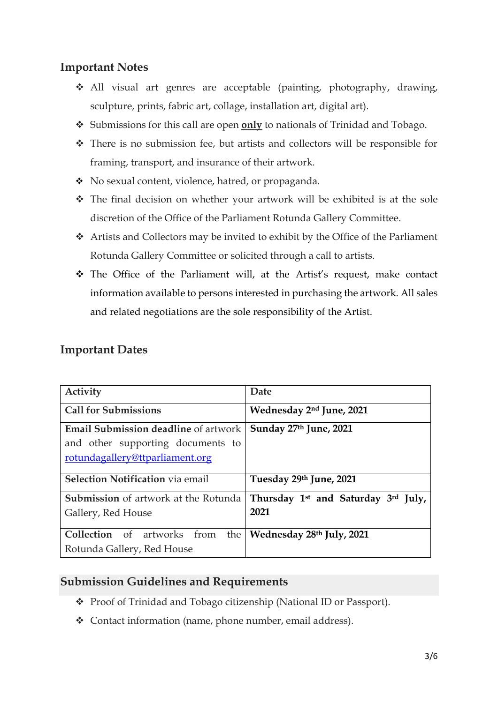# **Important Notes**

- All visual art genres are acceptable (painting, photography, drawing, sculpture, prints, fabric art, collage, installation art, digital art).
- Submissions for this call are open **only** to nationals of Trinidad and Tobago.
- There is no submission fee, but artists and collectors will be responsible for framing, transport, and insurance of their artwork.
- No sexual content, violence, hatred, or propaganda.
- The final decision on whether your artwork will be exhibited is at the sole discretion of the Office of the Parliament Rotunda Gallery Committee.
- Artists and Collectors may be invited to exhibit by the Office of the Parliament Rotunda Gallery Committee or solicited through a call to artists.
- The Office of the Parliament will, at the Artist's request, make contact information available to persons interested in purchasing the artwork. All sales and related negotiations are the sole responsibility of the Artist.

| <b>Important Dates</b> |  |
|------------------------|--|
|------------------------|--|

| Activity                                                                                                            | Date                                            |
|---------------------------------------------------------------------------------------------------------------------|-------------------------------------------------|
| <b>Call for Submissions</b>                                                                                         | Wednesday 2 <sup>nd</sup> June, 2021            |
| <b>Email Submission deadline</b> of artwork<br>and other supporting documents to<br>rotundagallery@ttparliament.org | Sunday 27th June, 2021                          |
| <b>Selection Notification via email</b>                                                                             | Tuesday 29th June, 2021                         |
| <b>Submission</b> of artwork at the Rotunda                                                                         | Thursday 1 <sup>st</sup> and Saturday 3rd July, |
| Gallery, Red House                                                                                                  | 2021                                            |
| <b>Collection</b> of artworks from the                                                                              | Wednesday 28th July, 2021                       |
| Rotunda Gallery, Red House                                                                                          |                                                 |

# **Submission Guidelines and Requirements**

- ◆ Proof of Trinidad and Tobago citizenship (National ID or Passport).
- Contact information (name, phone number, email address).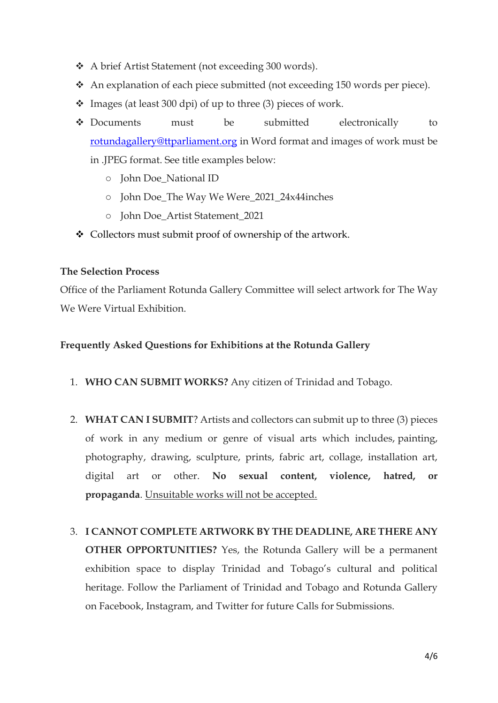- A brief Artist Statement (not exceeding 300 words).
- An explanation of each piece submitted (not exceeding 150 words per piece).
- $\cdot$  Images (at least 300 dpi) of up to three (3) pieces of work.
- Documents must be submitted electronically to [rotundagallery@ttparliament.org](mailto:rotundagallery@ttparliament.org) in Word format and images of work must be in .JPEG format. See title examples below:
	- o John Doe\_National ID
	- o John Doe\_The Way We Were\_2021\_24x44inches
	- o John Doe\_Artist Statement\_2021
- Collectors must submit proof of ownership of the artwork.

#### **The Selection Process**

Office of the Parliament Rotunda Gallery Committee will select artwork for The Way We Were Virtual Exhibition.

#### **Frequently Asked Questions for Exhibitions at the Rotunda Gallery**

- 1. **WHO CAN SUBMIT WORKS?** Any citizen of Trinidad and Tobago.
- 2. **WHAT CAN I SUBMIT**? Artists and collectors can submit up to three (3) pieces of work in any medium or genre of visual arts which includes, painting, photography, drawing, sculpture, prints, fabric art, collage, installation art, digital art or other. **No sexual content, violence, hatred, or propaganda**. Unsuitable works will not be accepted.
- 3. **I CANNOT COMPLETE ARTWORK BY THE DEADLINE, ARE THERE ANY OTHER OPPORTUNITIES?** Yes, the Rotunda Gallery will be a permanent exhibition space to display Trinidad and Tobago's cultural and political heritage. Follow the Parliament of Trinidad and Tobago and Rotunda Gallery on Facebook, Instagram, and Twitter for future Calls for Submissions.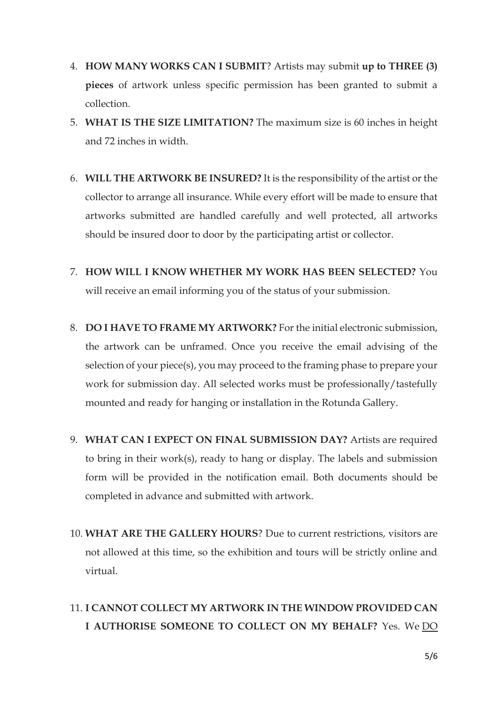- 4. **HOW MANY WORKS CAN I SUBMIT**? Artists may submit **up to THREE (3) pieces** of artwork unless specific permission has been granted to submit a collection.
- 5. **WHAT IS THE SIZE LIMITATION?** The maximum size is 60 inches in height and 72 inches in width.
- 6. **WILL THE ARTWORK BE INSURED?** It is the responsibility of the artist or the collector to arrange all insurance. While every effort will be made to ensure that artworks submitted are handled carefully and well protected, all artworks should be insured door to door by the participating artist or collector.
- 7. **HOW WILL I KNOW WHETHER MY WORK HAS BEEN SELECTED?** You will receive an email informing you of the status of your submission.
- 8. **DO I HAVE TO FRAME MY ARTWORK?** For the initial electronic submission, the artwork can be unframed. Once you receive the email advising of the selection of your piece(s), you may proceed to the framing phase to prepare your work for submission day. All selected works must be professionally/tastefully mounted and ready for hanging or installation in the Rotunda Gallery.
- 9. **WHAT CAN I EXPECT ON FINAL SUBMISSION DAY?** Artists are required to bring in their work(s), ready to hang or display. The labels and submission form will be provided in the notification email. Both documents should be completed in advance and submitted with artwork.
- 10. **WHAT ARE THE GALLERY HOURS**? Due to current restrictions, visitors are not allowed at this time, so the exhibition and tours will be strictly online and virtual.
- 11. **I CANNOT COLLECT MY ARTWORK IN THE WINDOW PROVIDED CAN I AUTHORISE SOMEONE TO COLLECT ON MY BEHALF?** Yes. We DO